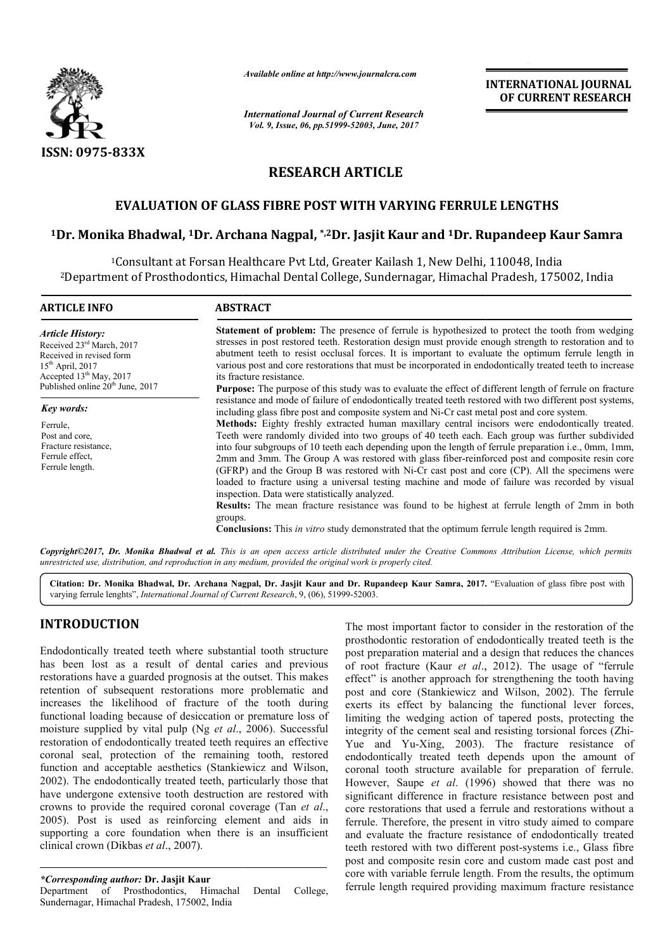

*Available online at http://www.journalcra.com*

*International Journal of Current Research Vol. 9, Issue, 06, pp.51999-52003, June, 2017*

**INTERNATIONAL JOURNAL OF CURRENT RESEARCH** 

# **RESEARCH ARTICLE**

## **EVALUATION OF GLASS FIBRE POST WITH VARYING FERRULE LENGTHS**

## **1Dr. Monika Bhadwal, 1Dr. Archana Nagpal, . \*,2Dr. Jasjit Kaur and 1Dr. Rupandeep Kaur Samra**

<sup>1</sup>Consultant at Forsan Healthcare Pvt Ltd, Greater Kailash 1, New Delhi, 110048, India 2Department of Prosthodontics, Himachal Dental College, Sundernagar, Himachal Pradesh Department Dental Sundernagar, Himachal Pradesh, 175002, India

| <b>Article History:</b>                                                                                                                                              |                                                                                                                                                                                                                                                                                                                                                                                                                                                                                                                                                                                                                                                                                                                                                                                                                                                                                                                 |  |  |  |  |  |  |  |
|----------------------------------------------------------------------------------------------------------------------------------------------------------------------|-----------------------------------------------------------------------------------------------------------------------------------------------------------------------------------------------------------------------------------------------------------------------------------------------------------------------------------------------------------------------------------------------------------------------------------------------------------------------------------------------------------------------------------------------------------------------------------------------------------------------------------------------------------------------------------------------------------------------------------------------------------------------------------------------------------------------------------------------------------------------------------------------------------------|--|--|--|--|--|--|--|
| Received 23 <sup>rd</sup> March, 2017<br>Received in revised form<br>$15th$ April, 2017<br>Accepted $13th$ May, 2017<br>Published online 20 <sup>th</sup> June, 2017 | <b>Statement of problem:</b> The presence of ferrule is hypothesized to protect the tooth from wedging<br>stresses in post restored teeth. Restoration design must provide enough strength to restoration and to<br>abutment teeth to resist occlusal forces. It is important to evaluate the optimum ferrule length in<br>various post and core restorations that must be incorporated in endodontically treated teeth to increase<br>its fracture resistance.<br><b>Purpose:</b> The purpose of this study was to evaluate the effect of different length of ferrule on fracture<br>including glass fibre post and composite system and Ni-Cr cast metal post and core system.                                                                                                                                                                                                                                |  |  |  |  |  |  |  |
| <b>Key words:</b>                                                                                                                                                    | resistance and mode of failure of endodontically treated teeth restored with two different post systems,                                                                                                                                                                                                                                                                                                                                                                                                                                                                                                                                                                                                                                                                                                                                                                                                        |  |  |  |  |  |  |  |
| Ferrule,<br>Post and core.<br>Fracture resistance.<br>Ferrule effect.<br>Ferrule length.                                                                             | <b>Methods:</b> Eighty freshly extracted human maxillary central incisors were endodontically treated.<br>Teeth were randomly divided into two groups of 40 teeth each. Each group was further subdivided<br>into four subgroups of 10 teeth each depending upon the length of ferrule preparation i.e., 0mm, 1mm,<br>2mm and 3mm. The Group A was restored with glass fiber-reinforced post and composite resin core<br>(GFRP) and the Group B was restored with Ni-Cr cast post and core (CP). All the specimens were<br>loaded to fracture using a universal testing machine and mode of failure was recorded by visual<br>inspection. Data were statistically analyzed.<br><b>Results:</b> The mean fracture resistance was found to be highest at ferrule length of 2mm in both<br>groups.<br><b>Conclusions:</b> This <i>in vitro</i> study demonstrated that the optimum ferrule length required is 2mm. |  |  |  |  |  |  |  |

*unrestricted use, distribution, and reproduction in any medium, provided the original work is properly cited.*

Citation: Dr. Monika Bhadwal, Dr. Archana Nagpal, Dr. Jasjit Kaur and Dr. Rupandeep Kaur Samra, 2017. "Evaluation of glass fibre post with varying ferrule lenghts", *International Journal of Current Research*, 9, (06), 51999-52003.

## **INTRODUCTION**

Endodontically treated teeth where substantial tooth structure has been lost as a result of dental caries and previous restorations have a guarded prognosis at the outset. This makes retention of subsequent restorations more problematic and increases the likelihood of fracture of the tooth during functional loading because of desiccation or premature loss of increases the likelihood of fracture of the tooth during<br>functional loading because of desiccation or premature loss of<br>moisture supplied by vital pulp (Ng *et al.*, 2006). Successful restoration of endodontically treated teeth requires an effective coronal seal, protection of the remaining tooth, restored coronal seal, protection of the remaining tooth, restored function and acceptable aesthetics (Stankiewicz and Wilson, 2002). The endodontically treated teeth, particularly those that have undergone extensive tooth destruction are restored with crowns to provide the required coronal coverage (Tan  $et al.$ ) 2005). Post is used as reinforcing element and aids in supporting a core foundation when there is an insufficient clinical crown (Dikbas *et al*., 2007). ). The endodontically treated teeth, particularly those that undergone extensive tooth destruction are restored with ms to provide the required coronal coverage (Tan *et al.*,

*\*Corresponding author:* **Dr. Jasjit Kaur**  Department of Prosthodontics, Himachal Dental College, Sundernagar, Himachal Pradesh, 175002, India

The most important factor to consider in the restoration of the<br>
post prosthodontic restoration of endodontically treated tech is the<br>
post preparation material and a design that reduces the chances<br>
of contractive (Kaur prosthodontic restoration of endodontically treated teeth is the post preparation material and a design that reduces the chances of root fracture (Kaur *et al.*, 2012). The usage of "ferrule effect" is another approach for strengthening the tooth having post and core (Stankiewicz and Wilson, 2002). The ferrule exerts its effect by balancing the functional lever forces, limiting the wedging action of tapered posts, protecting the integrity of the cement seal and resisting torsional forces (Zhi-Yue and Yu-Xing, 2003). The fracture resistance of endodontically treated teeth depends upon the amount of coronal tooth structure available for preparation of ferrule. coronal tooth structure available for preparation of ferrule.<br>However, Saupe et al. (1996) showed that there was no significant difference in fracture resistance between post and significant difference in fracture resistance between post and core restorations that used a ferrule and restorations without a ferrule. Therefore, the present in vitro study aimed to compare and evaluate the fracture resistance of endodontically treated and evaluate the fracture resistance of endodontically treated teeth restored with two different post-systems i.e., Glass fibre post and composite resin core and custom made cast post and core with variable ferrule length. From the results, the optimum ferrule length required providing maximum fracture resistance The most important factor to consider in the restoration of the prosthodontic restoration of endodontically treated teeth is the post preparation material and a design that reduces the chances exerts its effect by balancing the functional lever forces,<br>limiting the wedging action of tapered posts, protecting the<br>integrity of the cement seal and resisting torsional forces (Zhi-**INTERNATIONAL JOURNAL**<br> **Correct transformation**<br> **Correct CALCONSTIC CONSTIGATION CONSTIGATION CONSTIGATION CONSTIGATION CONSTITES IT and 1 Dr. Rupandeep Kaur Samra<br>
<b>Correct CALCONSTIC CONSTIGATION** Than 1, New Delhi,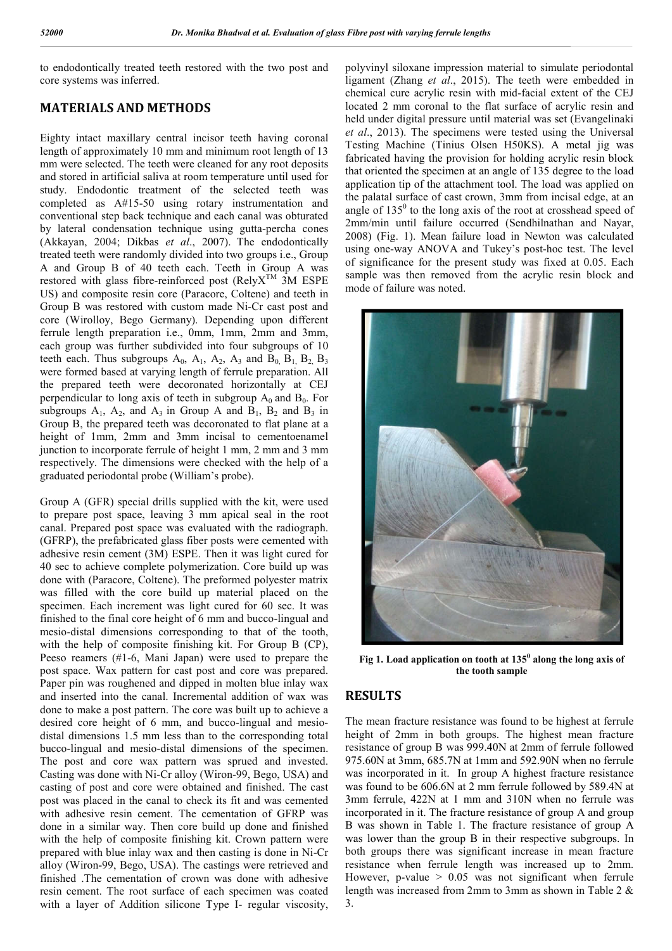to endodontically treated teeth restored with the two post and core systems was inferred.

## **MATERIALS AND METHODS**

Eighty intact maxillary central incisor teeth having coronal length of approximately 10 mm and minimum root length of 13 mm were selected. The teeth were cleaned for any root deposits and stored in artificial saliva at room temperature until used for study. Endodontic treatment of the selected teeth was completed as A#15-50 using rotary instrumentation and conventional step back technique and each canal was obturated by lateral condensation technique using gutta-percha cones (Akkayan, 2004; Dikbas *et al*., 2007). The endodontically treated teeth were randomly divided into two groups i.e., Group A and Group B of 40 teeth each. Teeth in Group A was restored with glass fibre-reinforced post (Rely $X^{TM}$  3M ESPE US) and composite resin core (Paracore, Coltene) and teeth in Group B was restored with custom made Ni-Cr cast post and core (Wirolloy, Bego Germany). Depending upon different ferrule length preparation i.e., 0mm, 1mm, 2mm and 3mm, each group was further subdivided into four subgroups of 10 teeth each. Thus subgroups  $A_0$ ,  $A_1$ ,  $A_2$ ,  $A_3$  and  $B_0$ ,  $B_1$ ,  $B_2$ ,  $B_3$ were formed based at varying length of ferrule preparation. All the prepared teeth were decoronated horizontally at CEJ perpendicular to long axis of teeth in subgroup  $A_0$  and  $B_0$ . For subgroups  $A_1$ ,  $A_2$ , and  $A_3$  in Group A and  $B_1$ ,  $B_2$  and  $B_3$  in Group B, the prepared teeth was decoronated to flat plane at a height of 1mm, 2mm and 3mm incisal to cementoenamel junction to incorporate ferrule of height 1 mm, 2 mm and 3 mm respectively. The dimensions were checked with the help of a graduated periodontal probe (William's probe).

Group A (GFR) special drills supplied with the kit, were used to prepare post space, leaving 3 mm apical seal in the root canal. Prepared post space was evaluated with the radiograph. (GFRP), the prefabricated glass fiber posts were cemented with adhesive resin cement (3M) ESPE. Then it was light cured for 40 sec to achieve complete polymerization. Core build up was done with (Paracore, Coltene). The preformed polyester matrix was filled with the core build up material placed on the specimen. Each increment was light cured for 60 sec. It was finished to the final core height of 6 mm and bucco-lingual and mesio-distal dimensions corresponding to that of the tooth, with the help of composite finishing kit. For Group B (CP), Peeso reamers (#1-6, Mani Japan) were used to prepare the post space. Wax pattern for cast post and core was prepared. Paper pin was roughened and dipped in molten blue inlay wax and inserted into the canal. Incremental addition of wax was done to make a post pattern. The core was built up to achieve a desired core height of 6 mm, and bucco-lingual and mesiodistal dimensions 1.5 mm less than to the corresponding total bucco-lingual and mesio-distal dimensions of the specimen. The post and core wax pattern was sprued and invested. Casting was done with Ni-Cr alloy (Wiron-99, Bego, USA) and casting of post and core were obtained and finished. The cast post was placed in the canal to check its fit and was cemented with adhesive resin cement. The cementation of GFRP was done in a similar way. Then core build up done and finished with the help of composite finishing kit. Crown pattern were prepared with blue inlay wax and then casting is done in Ni-Cr alloy (Wiron-99, Bego, USA). The castings were retrieved and finished .The cementation of crown was done with adhesive resin cement. The root surface of each specimen was coated with a layer of Addition silicone Type I- regular viscosity,

polyvinyl siloxane impression material to simulate periodontal ligament (Zhang *et al*., 2015). The teeth were embedded in chemical cure acrylic resin with mid-facial extent of the CEJ located 2 mm coronal to the flat surface of acrylic resin and held under digital pressure until material was set (Evangelinaki *et al*., 2013). The specimens were tested using the Universal Testing Machine (Tinius Olsen H50KS). A metal jig was fabricated having the provision for holding acrylic resin block that oriented the specimen at an angle of 135 degree to the load application tip of the attachment tool. The load was applied on the palatal surface of cast crown, 3mm from incisal edge, at an angle of  $135<sup>0</sup>$  to the long axis of the root at crosshead speed of 2mm/min until failure occurred (Sendhilnathan and Nayar, 2008) (Fig. 1). Mean failure load in Newton was calculated using one-way ANOVA and Tukey's post-hoc test. The level of significance for the present study was fixed at 0.05. Each sample was then removed from the acrylic resin block and mode of failure was noted.



**Fig 1. Load application on tooth at 135<sup>0</sup> along the long axis of the tooth sample**

### **RESULTS**

The mean fracture resistance was found to be highest at ferrule height of 2mm in both groups. The highest mean fracture resistance of group B was 999.40N at 2mm of ferrule followed 975.60N at 3mm, 685.7N at 1mm and 592.90N when no ferrule was incorporated in it. In group A highest fracture resistance was found to be 606.6N at 2 mm ferrule followed by 589.4N at 3mm ferrule, 422N at 1 mm and 310N when no ferrule was incorporated in it. The fracture resistance of group A and group B was shown in Table 1. The fracture resistance of group A was lower than the group B in their respective subgroups. In both groups there was significant increase in mean fracture resistance when ferrule length was increased up to 2mm. However, p-value  $> 0.05$  was not significant when ferrule length was increased from 2mm to 3mm as shown in Table 2 & 3.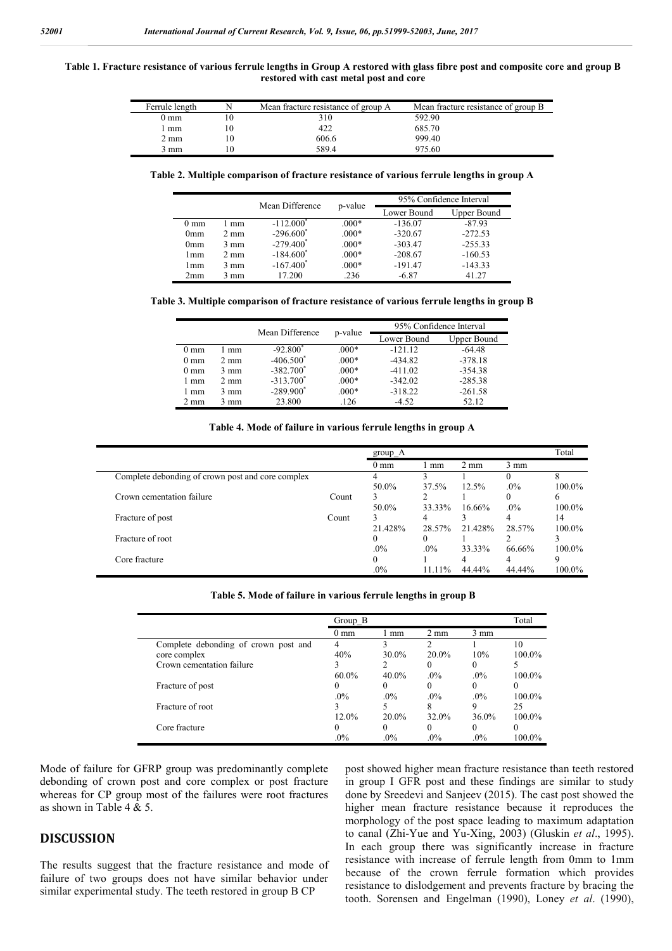#### **Table 1. Fracture resistance of various ferrule lengths in Group A restored with glass fibre post and composite core and group B restored with cast metal post and core**

| Ferrule length |     | Mean fracture resistance of group A | Mean fracture resistance of group B |
|----------------|-----|-------------------------------------|-------------------------------------|
| 0 mm           |     | 310                                 | 592.90                              |
| mm             | l O | 422                                 | 685.70                              |
| 2 mm           | 10  | 606.6                               | 999.40                              |
| 3 mm           | 10  | 589.4                               | 975.60                              |

**Table 2. Multiple comparison of fracture resistance of various ferrule lengths in group A**

|                 |                | Mean Difference         | p-value | 95% Confidence Interval |             |  |  |
|-----------------|----------------|-------------------------|---------|-------------------------|-------------|--|--|
|                 |                |                         |         | Lower Bound             | Upper Bound |  |  |
| $0 \text{ mm}$  | mm             | $-112.000^*$            | $.000*$ | $-136.07$               | $-87.93$    |  |  |
| 0 <sub>mm</sub> | 2 mm           | $-296.600^*$            | $.000*$ | $-320.67$               | $-272.53$   |  |  |
| 0 <sub>mm</sub> | $3 \text{ mm}$ | $-279.400^*$            | $.000*$ | $-303.47$               | $-255.33$   |  |  |
| l mm            | 2 mm           | $-184.600*$             | $.000*$ | $-208.67$               | $-160.53$   |  |  |
| l mm            | $3 \text{ mm}$ | $-167.400$ <sup>*</sup> | $.000*$ | $-191.47$               | $-143.33$   |  |  |
| 2mm             | 3 mm           | 17.200                  | .236    | $-6.87$                 | 41.27       |  |  |

**Table 3. Multiple comparison of fracture resistance of various ferrule lengths in group B**

|                |                | Mean Difference |         | 95% Confidence Interval |             |  |  |
|----------------|----------------|-----------------|---------|-------------------------|-------------|--|--|
|                |                | p-value         |         | Lower Bound             | Upper Bound |  |  |
| $0 \text{ mm}$ | mm             | $-92.800$       | $.000*$ | $-121.12$               | $-64.48$    |  |  |
| $0 \text{ mm}$ | $2 \text{ mm}$ | $-406.500*$     | $.000*$ | $-434.82$               | $-378.18$   |  |  |
| $0 \text{ mm}$ | $3 \text{ mm}$ | $-382.700^*$    | $.000*$ | $-411.02$               | $-354.38$   |  |  |
| 1 mm           | $2 \text{ mm}$ | $-313.700^*$    | $.000*$ | $-342.02$               | $-285.38$   |  |  |
| 1 mm           | 3 mm           | $-289.900^*$    | $.000*$ | $-318.22$               | $-261.58$   |  |  |
| $2 \text{ mm}$ | 3 mm           | 23.800          | .126    | $-4.52$                 | 52.12       |  |  |

#### **Table 4. Mode of failure in various ferrule lengths in group A**

|                                                   |       | $group_A$      |          |                |                | Total     |
|---------------------------------------------------|-------|----------------|----------|----------------|----------------|-----------|
|                                                   |       | $0 \text{ mm}$ | mm       | $2 \text{ mm}$ | $3 \text{ mm}$ |           |
| Complete debonding of crown post and core complex |       | 4              |          |                |                | 8         |
|                                                   |       | 50.0%          | 37.5%    | 12.5%          | $.0\%$         | $100.0\%$ |
| Crown cementation failure                         | Count | 3              |          |                |                | 6         |
|                                                   |       | 50.0%          | 33.33%   | $16.66\%$      | $.0\%$         | $100.0\%$ |
| Fracture of post                                  | Count | 3              | 4        |                | 4              | 14        |
|                                                   |       | 21.428%        | 28.57%   | 21.428%        | 28.57%         | $100.0\%$ |
| Fracture of root                                  |       | $\Omega$       | $^{(1)}$ |                |                |           |
|                                                   |       | $.0\%$         | $.0\%$   | 33.33%         | 66.66%         | $100.0\%$ |
| Core fracture                                     |       | 0              |          | 4              | 4              | 9         |
|                                                   |       | $.0\%$         | $1111\%$ | 44.44%         | 44.44%         | $100.0\%$ |

|  | Table 5. Mode of failure in various ferrule lengths in group B |  |  |  |  |
|--|----------------------------------------------------------------|--|--|--|--|
|  |                                                                |  |  |  |  |
|  |                                                                |  |  |  |  |

|                                      | Group B        |          |                |                | Total     |
|--------------------------------------|----------------|----------|----------------|----------------|-----------|
|                                      | $0 \text{ mm}$ | mm       | $2 \text{ mm}$ | $3 \text{ mm}$ |           |
| Complete debonding of crown post and |                |          | ∍              |                | 10        |
| core complex                         | 40%            | 30.0%    | $20.0\%$       | 10%            | $100.0\%$ |
| Crown cementation failure            |                |          | 0              | $\theta$       |           |
|                                      | $60.0\%$       | $40.0\%$ | $.0\%$         | $.0\%$         | $100.0\%$ |
| Fracture of post                     |                |          | $\Omega$       | $\Omega$       | $\Omega$  |
|                                      | $.0\%$         | $.0\%$   | $.0\%$         | $.0\%$         | $100.0\%$ |
| Fracture of root                     |                |          | 8              | 9              | 25        |
|                                      | $12.0\%$       | $20.0\%$ | 32.0%          | 36.0%          | $100.0\%$ |
| Core fracture                        | $^{(1)}$       | $\theta$ | 0              | $_{0}$         | 0         |
|                                      | $.0\%$         | $.0\%$   | $.0\%$         | $.0\%$         | 100.0%    |

Mode of failure for GFRP group was predominantly complete debonding of crown post and core complex or post fracture whereas for CP group most of the failures were root fractures as shown in Table 4 & 5.

### **DISCUSSION**

The results suggest that the fracture resistance and mode of failure of two groups does not have similar behavior under similar experimental study. The teeth restored in group B CP

post showed higher mean fracture resistance than teeth restored in group I GFR post and these findings are similar to study done by Sreedevi and Sanjeev (2015). The cast post showed the higher mean fracture resistance because it reproduces the morphology of the post space leading to maximum adaptation to canal (Zhi-Yue and Yu-Xing, 2003) (Gluskin *et al*., 1995). In each group there was significantly increase in fracture resistance with increase of ferrule length from 0mm to 1mm because of the crown ferrule formation which provides resistance to dislodgement and prevents fracture by bracing the tooth. Sorensen and Engelman (1990), Loney *et al*. (1990),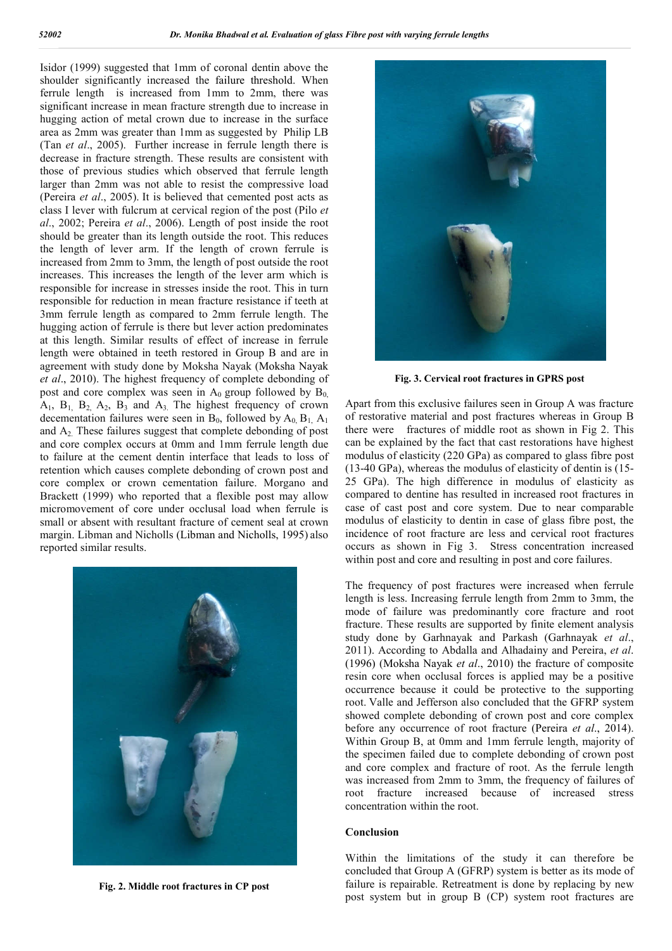Isidor (1999) suggested that 1mm of coronal dentin above the shoulder significantly increased the failure threshold. When ferrule length is increased from 1mm to 2mm, there was significant increase in mean fracture strength due to increase in hugging action of metal crown due to increase in the surface area as 2mm was greater than 1mm as suggested by Philip LB (Tan *et al*., 2005). Further increase in ferrule length there is decrease in fracture strength. These results are consistent with those of previous studies which observed that ferrule length larger than 2mm was not able to resist the compressive load (Pereira *et al*., 2005). It is believed that cemented post acts as class I lever with fulcrum at cervical region of the post (Pilo *et al*., 2002; Pereira *et al*., 2006). Length of post inside the root should be greater than its length outside the root. This reduces the length of lever arm. If the length of crown ferrule is increased from 2mm to 3mm, the length of post outside the root increases. This increases the length of the lever arm which is responsible for increase in stresses inside the root. This in turn responsible for reduction in mean fracture resistance if teeth at 3mm ferrule length as compared to 2mm ferrule length. The hugging action of ferrule is there but lever action predominates at this length. Similar results of effect of increase in ferrule length were obtained in teeth restored in Group B and are in agreement with study done by Moksha Nayak (Moksha Nayak *et al*., 2010). The highest frequency of complete debonding of post and core complex was seen in  $A_0$  group followed by  $B_0$  $A_1$ ,  $B_1$ ,  $B_2$ ,  $A_2$ ,  $B_3$  and  $A_3$ . The highest frequency of crown decementation failures were seen in  $B_0$ , followed by  $A_0$ ,  $B_1$ ,  $A_1$ and  $A<sub>2</sub>$ . These failures suggest that complete debonding of post and core complex occurs at 0mm and 1mm ferrule length due to failure at the cement dentin interface that leads to loss of retention which causes complete debonding of crown post and core complex or crown cementation failure. Morgano and Brackett (1999) who reported that a flexible post may allow micromovement of core under occlusal load when ferrule is small or absent with resultant fracture of cement seal at crown margin. Libman and Nicholls (Libman and Nicholls, 1995) also reported similar results.



**Fig. 2. Middle root fractures in CP post**



**Fig. 3. Cervical root fractures in GPRS post**

Apart from this exclusive failures seen in Group A was fracture of restorative material and post fractures whereas in Group B there were fractures of middle root as shown in Fig 2. This can be explained by the fact that cast restorations have highest modulus of elasticity (220 GPa) as compared to glass fibre post (13-40 GPa), whereas the modulus of elasticity of dentin is (15- 25 GPa). The high difference in modulus of elasticity as compared to dentine has resulted in increased root fractures in case of cast post and core system. Due to near comparable modulus of elasticity to dentin in case of glass fibre post, the incidence of root fracture are less and cervical root fractures occurs as shown in Fig 3. Stress concentration increased within post and core and resulting in post and core failures.

The frequency of post fractures were increased when ferrule length is less. Increasing ferrule length from 2mm to 3mm, the mode of failure was predominantly core fracture and root fracture. These results are supported by finite element analysis study done by Garhnayak and Parkash (Garhnayak *et al*., 2011). According to Abdalla and Alhadainy and Pereira, *et al*. (1996) (Moksha Nayak *et al*., 2010) the fracture of composite resin core when occlusal forces is applied may be a positive occurrence because it could be protective to the supporting root. Valle and Jefferson also concluded that the GFRP system showed complete debonding of crown post and core complex before any occurrence of root fracture (Pereira *et al*., 2014). Within Group B, at 0mm and 1mm ferrule length, majority of the specimen failed due to complete debonding of crown post and core complex and fracture of root. As the ferrule length was increased from 2mm to 3mm, the frequency of failures of root fracture increased because of increased stress concentration within the root.

#### **Conclusion**

Within the limitations of the study it can therefore be concluded that Group A (GFRP) system is better as its mode of failure is repairable. Retreatment is done by replacing by new post system but in group B (CP) system root fractures are